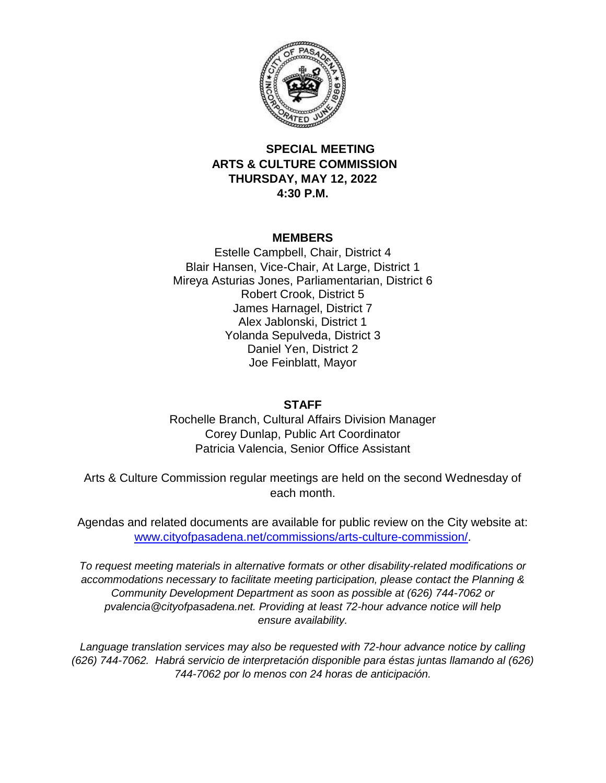

### **SPECIAL MEETING ARTS & CULTURE COMMISSION THURSDAY, MAY 12, 2022 4:30 P.M.**

#### **MEMBERS**

Estelle Campbell, Chair, District 4 Blair Hansen, Vice-Chair, At Large, District 1 Mireya Asturias Jones, Parliamentarian, District 6 Robert Crook, District 5 James Harnagel, District 7 Alex Jablonski, District 1 Yolanda Sepulveda, District 3 Daniel Yen, District 2 Joe Feinblatt, Mayor

#### **STAFF**

Rochelle Branch, Cultural Affairs Division Manager Corey Dunlap, Public Art Coordinator Patricia Valencia, Senior Office Assistant

Arts & Culture Commission regular meetings are held on the second Wednesday of each month.

Agendas and related documents are available for public review on the City website at: [www.cityofpasadena.net/commissions/arts-culture-commission/.](http://www.cityofpasadena.net/commissions/arts-culture-commission/)

*To request meeting materials in alternative formats or other disability-related modifications or accommodations necessary to facilitate meeting participation, please contact the Planning & Community Development Department as soon as possible at (626) 744-7062 or pvalencia@cityofpasadena.net. Providing at least 72-hour advance notice will help ensure availability.*

*Language translation services may also be requested with 72-hour advance notice by calling (626) 744-7062. Habrá servicio de interpretación disponible para éstas juntas llamando al (626) 744-7062 por lo menos con 24 horas de anticipación.*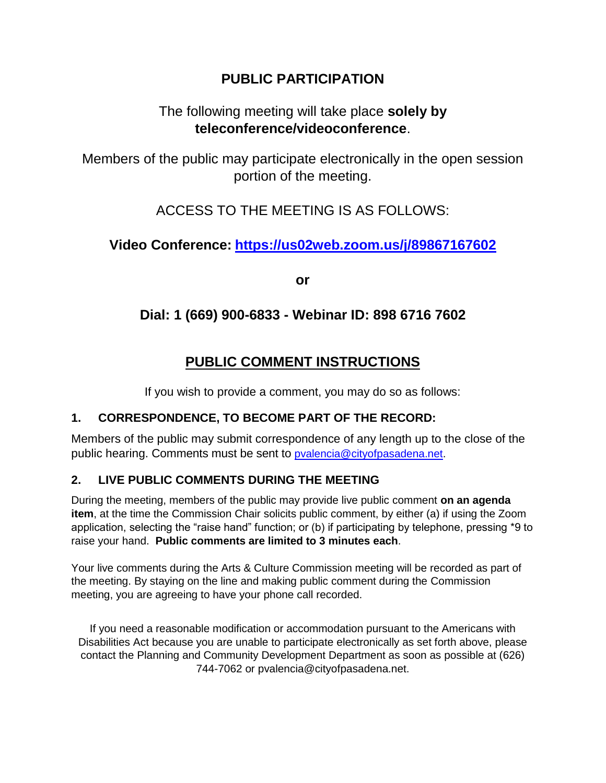# **PUBLIC PARTICIPATION**

# The following meeting will take place **solely by teleconference/videoconference**.

Members of the public may participate electronically in the open session portion of the meeting.

## ACCESS TO THE MEETING IS AS FOLLOWS:

## **Video Conference: <https://us02web.zoom.us/j/89867167602>**

**or** 

## **Dial: 1 (669) 900-6833 - Webinar ID: 898 6716 7602**

## **PUBLIC COMMENT INSTRUCTIONS**

If you wish to provide a comment, you may do so as follows:

### **1. CORRESPONDENCE, TO BECOME PART OF THE RECORD:**

Members of the public may submit correspondence of any length up to the close of the public hearing. Comments must be sent to [pvalencia@cityofpasadena.net.](mailto:pvalencia@cityofpasadena.net)

### **2. LIVE PUBLIC COMMENTS DURING THE MEETING**

During the meeting, members of the public may provide live public comment **on an agenda item**, at the time the Commission Chair solicits public comment, by either (a) if using the Zoom application, selecting the "raise hand" function; or (b) if participating by telephone, pressing \*9 to raise your hand. **Public comments are limited to 3 minutes each**.

Your live comments during the Arts & Culture Commission meeting will be recorded as part of the meeting. By staying on the line and making public comment during the Commission meeting, you are agreeing to have your phone call recorded.

If you need a reasonable modification or accommodation pursuant to the Americans with Disabilities Act because you are unable to participate electronically as set forth above, please contact the Planning and Community Development Department as soon as possible at (626) 744-7062 or pvalencia@cityofpasadena.net.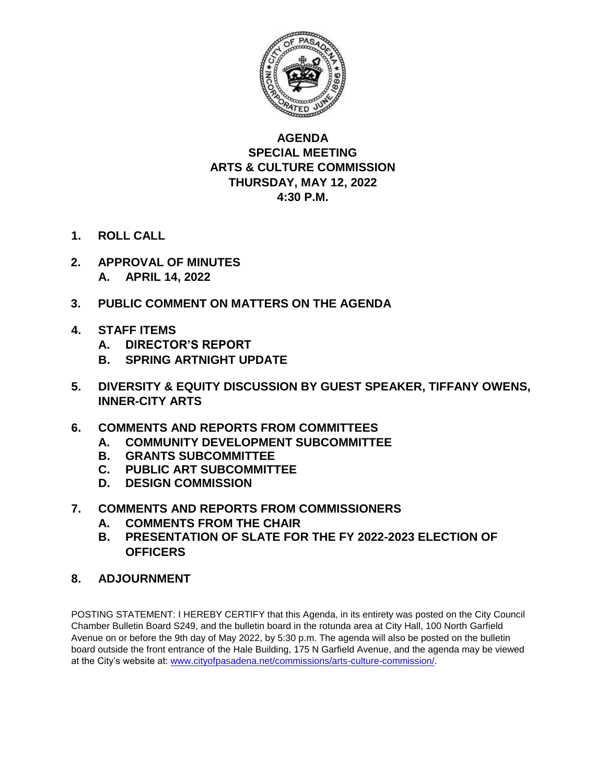

### **AGENDA SPECIAL MEETING ARTS & CULTURE COMMISSION THURSDAY, MAY 12, 2022 4:30 P.M.**

- **1. ROLL CALL**
- **2. APPROVAL OF MINUTES A. APRIL 14, 2022**
- **3. PUBLIC COMMENT ON MATTERS ON THE AGENDA**
- **4. STAFF ITEMS**
	- **A. DIRECTOR'S REPORT**
	- **B. SPRING ARTNIGHT UPDATE**
- **5. DIVERSITY & EQUITY DISCUSSION BY GUEST SPEAKER, TIFFANY OWENS, INNER-CITY ARTS**
- **6. COMMENTS AND REPORTS FROM COMMITTEES**
	- **A. COMMUNITY DEVELOPMENT SUBCOMMITTEE**
	- **B. GRANTS SUBCOMMITTEE**
	- **C. PUBLIC ART SUBCOMMITTEE**
	- **D. DESIGN COMMISSION**
- **7. COMMENTS AND REPORTS FROM COMMISSIONERS**
	- **A. COMMENTS FROM THE CHAIR**
	- **B. PRESENTATION OF SLATE FOR THE FY 2022-2023 ELECTION OF OFFICERS**
- **8. ADJOURNMENT**

POSTING STATEMENT: I HEREBY CERTIFY that this Agenda, in its entirety was posted on the City Council Chamber Bulletin Board S249, and the bulletin board in the rotunda area at City Hall, 100 North Garfield Avenue on or before the 9th day of May 2022, by 5:30 p.m. The agenda will also be posted on the bulletin board outside the front entrance of the Hale Building, 175 N Garfield Avenue, and the agenda may be viewed at the City's website at: [www.cityofpasadena.net/commissions/arts-culture-commission/.](http://www.cityofpasadena.net/commissions/arts-culture-commission/)